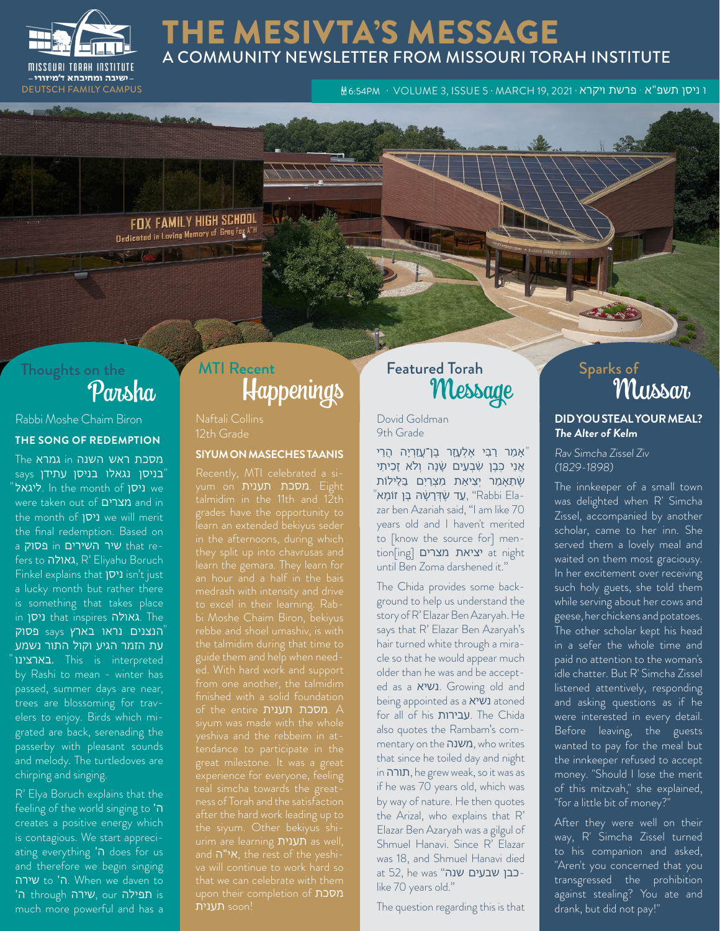

#### THE MESIVTA'S MESSAGE A COMMUNITY NEWSLETTER FROM MISSOURI TORAH INSTITUTE

ו ניסן תשפ"א · פרשת ויקרא · W6tS4PM · VOLUME 3, ISSUE 5 · MARCH 19, 2021 ו- PEUTSCH FAMILY CAMPUS ו Teg

FOX FAMILY HIGH SCHOOL **PUA FAMILITION SENSITY**<br>Dedicated in Loving Memory of Greg Fox A<sup>TH</sup>

# Thoughts on the<br>Pansha

#### Rabbi Moshe Chaim Biron **THE SONG OF REDEMPTION**

מסכת ראש השנה in גמרא The בניסן נגאלו בניסן עתידן says " "ליגאל ln the month of ניסן we were taken out of מצרים and in the month of ניסן we will merit the final redemption. Based on a **p שיר השירים** in **נסוק** fers to גאולה, R' Eliyahu Boruch Finkel explains that ניסן isn't just a lucky month but rather there is something that takes place in ניסן that inspires גאולה. The הנצנים נראו בארץ says פסוק " עת הזמר הגיע וקול התור נשמע בארצינו. This is interpreted by Rashi to mean - winter has passed, summer days are near, trees are blossoming for travelers to enjoy. Birds which migrated are back, serenading the passerby with pleasant sounds and melody. The turtledoves are chirping and singing.

R' Elya Boruch explains that the feeling of the world singing to 'ה creates a positive energy which is contagious. We start appreciating everything 'ה does for us and therefore we begin singing שירה to 'ה. When we daven to is תפילה our ,שירה through ה' much more powerful and has a

### Happenings MTI Recent **Featured Torah**

Naftali Collins 12th Grade

#### **SIYUM ON MASECHES TAANIS**

yum on תענית מסכת. Eight talmidim in the 11th and 12th grades have the opportunity to to excel in their learning. Rabbi Moshe Chaim Biron, bekiyus guide them and help when needof the entire תענית מסכת. A great milestone. It was a great urim are learning תענית as well, upon their completion of מסכת !soon תענית

Dovid Goldman 9th Grade

אַמַר רַבִּי אֶלְעָזָר בֶּן־עֲזַרְיָה הֲרֵי" אֲנִי כְּבֵן שְׂבָעָים שָׂנָה וְלֹא זָכִיתִי שֶׁתֵָּאמֵ ר יְצִ יַאת מִ צְ רַ יִם בַּלֵּילֹות zar ben Azariah said, "I am like 70 "עָד שֶׂדְּרָשָׂהּ בֶּן זוֹמָא, "Rabbi Ela years old and I haven't merited to [know the source for] mention[ing] מצרים יציאת at night until Ben Zoma darshened it."

The Chida provides some background to help us understand the story of R' Elazar Ben Azaryah. He says that R' Elazar Ben Azaryah's hair turned white through a miracle so that he would appear much older than he was and be accepted as a נשיא. Growing old and being appointed as a נשיא atoned for all of his עבירות. The Chida also quotes the Rambam's commentary on the משנה, who writes that since he toiled day and night in תורה, he grew weak, so it was as if he was 70 years old, which was by way of nature. He then quotes the Arizal, who explains that R' Elazar Ben Azaryah was a gilgul of Shmuel Hanavi. Since R' Elazar was 18, and Shmuel Hanavi died at 52, he was "כבן שבעים שנהlike 70 years old."

The question regarding this is that

## red Torah Sparks of Sparks of Mussar **DID YOU STEAL YOUR MEAL? The Alter of Kelm**

Rav Simcha Zissel Ziv (1829-1898)

The innkeeper of a small town was delighted when R' Simcha Zissel, accompanied by another scholar, came to her inn. She served them a lovely meal and waited on them most graciousy. In her excitement over receiving such holy guets, she told them while serving about her cows and geese, her chickens and potatoes. The other scholar kept his head in a sefer the whole time and paid no attention to the woman's idle chatter. But R' Simcha Zissel listened attentively, responding and asking questions as if he were interested in every detail. Before leaving, the guests wanted to pay for the meal but the innkeeper refused to accept money. "Should I lose the merit of this mitzvah," she explained, "for a little bit of money?"

After they were well on their way, R' Simcha Zissel turned to his companion and asked, "Aren't you concerned that you transgressed the prohibition against stealing? You ate and drank, but did not pay!"